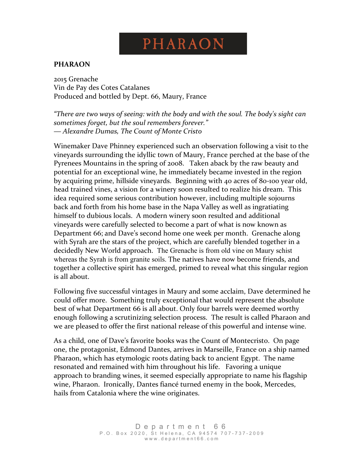# PHARAON

## **PHARAON**

2015 Grenache Vin de Pay des Cotes Catalanes Produced and bottled by Dept. 66, Maury, France

*"There are two ways of seeing: with the body and with the soul. The body's sight can sometimes forget, but the soul remembers forever." ― Alexandre Dumas, The Count of Monte Cristo*

Winemaker Dave Phinney experienced such an observation following a visit to the vineyards surrounding the idyllic town of Maury, France perched at the base of the Pyrenees Mountains in the spring of 2008. Taken aback by the raw beauty and potential for an exceptional wine, he immediately became invested in the region by acquiring prime, hillside vineyards. Beginning with 40 acres of 80-100 year old, head trained vines, a vision for a winery soon resulted to realize his dream. This idea required some serious contribution however, including multiple sojourns back and forth from his home base in the Napa Valley as well as ingratiating himself to dubious locals. A modern winery soon resulted and additional vineyards were carefully selected to become a part of what is now known as Department 66; and Dave's second home one week per month. Grenache along with Syrah are the stars of the project, which are carefully blended together in a decidedly New World approach. The Grenache is from old vine on Maury schist whereas the Syrah is from granite soils. The natives have now become friends, and together a collective spirit has emerged, primed to reveal what this singular region is all about.

Following five successful vintages in Maury and some acclaim, Dave determined he could offer more. Something truly exceptional that would represent the absolute best of what Department 66 is all about. Only four barrels were deemed worthy enough following a scrutinizing selection process. The result is called Pharaon and we are pleased to offer the first national release of this powerful and intense wine.

As a child, one of Dave's favorite books was the Count of Montecristo. On page one, the protagonist, Edmond Dantes, arrives in Marseille, France on a ship named Pharaon, which has etymologic roots dating back to ancient Egypt. The name resonated and remained with him throughout his life. Favoring a unique approach to branding wines, it seemed especially appropriate to name his flagship wine, Pharaon. Ironically, Dantes fiancé turned enemy in the book, Mercedes, hails from Catalonia where the wine originates.